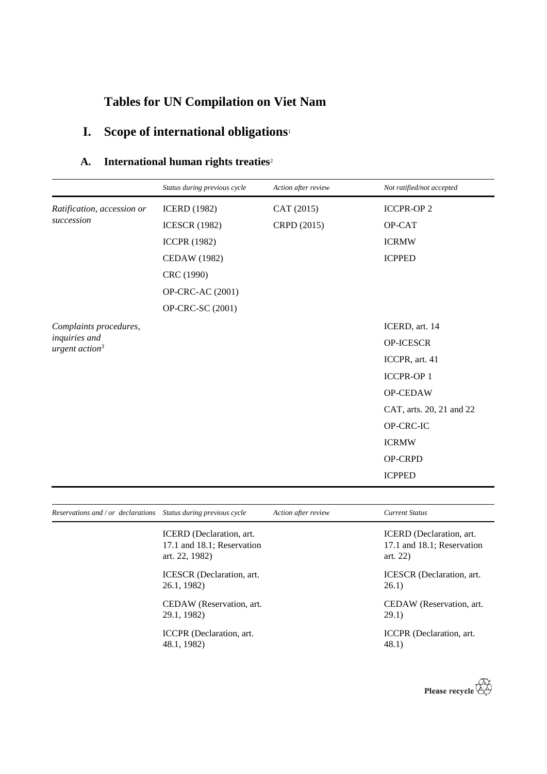## **Tables for UN Compilation on Viet Nam**

## **I. Scope of international obligations**<sup>1</sup>

## **A. International human rights treaties**<sup>2</sup>

|                                   | Status during previous cycle | Action after review | Not ratified/not accepted |
|-----------------------------------|------------------------------|---------------------|---------------------------|
| Ratification, accession or        | <b>ICERD</b> (1982)          | CAT (2015)          | <b>ICCPR-OP2</b>          |
| succession                        | <b>ICESCR (1982)</b>         | CRPD (2015)         | OP-CAT                    |
|                                   | <b>ICCPR (1982)</b>          |                     | <b>ICRMW</b>              |
|                                   | <b>CEDAW</b> (1982)          |                     | <b>ICPPED</b>             |
|                                   | CRC (1990)                   |                     |                           |
|                                   | OP-CRC-AC (2001)             |                     |                           |
|                                   | OP-CRC-SC (2001)             |                     |                           |
| Complaints procedures,            |                              |                     | ICERD, art. 14            |
| inquiries and<br>urgent $action3$ |                              |                     | OP-ICESCR                 |
|                                   |                              |                     | ICCPR, art. 41            |
|                                   |                              |                     | <b>ICCPR-OP1</b>          |
|                                   |                              |                     | OP-CEDAW                  |
|                                   |                              |                     | CAT, arts. 20, 21 and 22  |
|                                   |                              |                     | OP-CRC-IC                 |
|                                   |                              |                     | <b>ICRMW</b>              |
|                                   |                              |                     | OP-CRPD                   |
|                                   |                              |                     | <b>ICPPED</b>             |
|                                   |                              |                     |                           |

| Reservations and / or declarations Status during previous cycle |                                                                          | Action after review | <b>Current Status</b>                                               |
|-----------------------------------------------------------------|--------------------------------------------------------------------------|---------------------|---------------------------------------------------------------------|
|                                                                 | ICERD (Declaration, art.<br>17.1 and 18.1; Reservation<br>art. 22, 1982) |                     | ICERD (Declaration, art.<br>17.1 and 18.1; Reservation<br>art. $22$ |
|                                                                 | ICESCR (Declaration, art.<br>26.1, 1982)                                 |                     | <b>ICESCR</b> (Declaration, art.<br>26.1)                           |
|                                                                 | CEDAW (Reservation, art.<br>29.1, 1982)                                  |                     | CEDAW (Reservation, art.<br>29.1)                                   |
|                                                                 | ICCPR (Declaration, art.<br>48.1, 1982)                                  |                     | ICCPR (Declaration, art.<br>48.1)                                   |

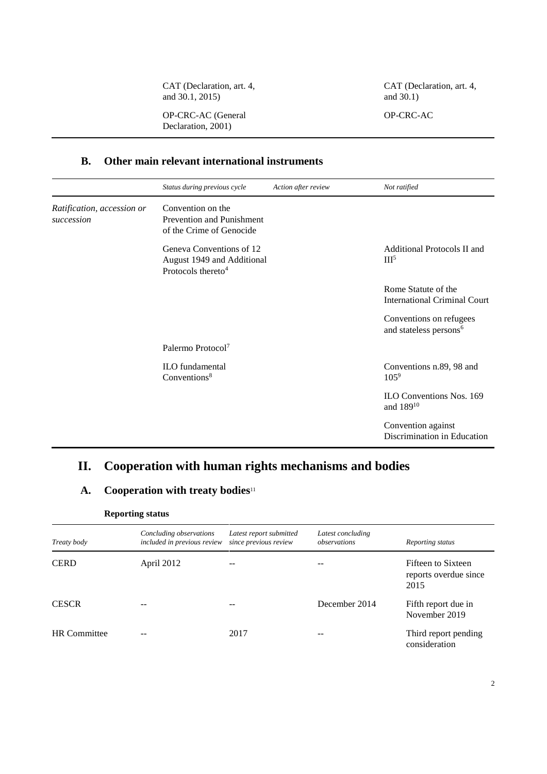CAT (Declaration, art. 4, and 30.1, 2015)

CAT (Declaration, art. 4, and 30.1)

OP-CRC-AC

OP-CRC-AC (General Declaration, 2001)

#### **B. Other main relevant international instruments**

|                                          | Status during previous cycle                                                             | Action after review | Not ratified                                                  |
|------------------------------------------|------------------------------------------------------------------------------------------|---------------------|---------------------------------------------------------------|
| Ratification, accession or<br>succession | Convention on the<br>Prevention and Punishment<br>of the Crime of Genocide               |                     |                                                               |
|                                          | Geneva Conventions of 12<br>August 1949 and Additional<br>Protocols thereto <sup>4</sup> |                     | Additional Protocols II and<br>III <sup>5</sup>               |
|                                          |                                                                                          |                     | Rome Statute of the<br><b>International Criminal Court</b>    |
|                                          |                                                                                          |                     | Conventions on refugees<br>and stateless persons <sup>6</sup> |
|                                          | Palermo Protocol <sup>7</sup>                                                            |                     |                                                               |
|                                          | <b>ILO</b> fundamental<br>Conventions <sup>8</sup>                                       |                     | Conventions n.89, 98 and<br>$105^9$                           |
|                                          |                                                                                          |                     | ILO Conventions Nos. 169<br>and 189 <sup>10</sup>             |
|                                          |                                                                                          |                     | Convention against<br>Discrimination in Education             |

### **II. Cooperation with human rights mechanisms and bodies**

#### **A. Cooperation with treaty bodies**<sup>11</sup>

#### **Reporting status**

| Treaty body         | Concluding observations<br>included in previous review | Latest report submitted<br>since previous review | Latest concluding<br>observations | Reporting status                                    |
|---------------------|--------------------------------------------------------|--------------------------------------------------|-----------------------------------|-----------------------------------------------------|
| <b>CERD</b>         | April 2012                                             | --                                               |                                   | Fifteen to Sixteen<br>reports overdue since<br>2015 |
| <b>CESCR</b>        |                                                        | --                                               | December 2014                     | Fifth report due in<br>November 2019                |
| <b>HR</b> Committee |                                                        | 2017                                             |                                   | Third report pending<br>consideration               |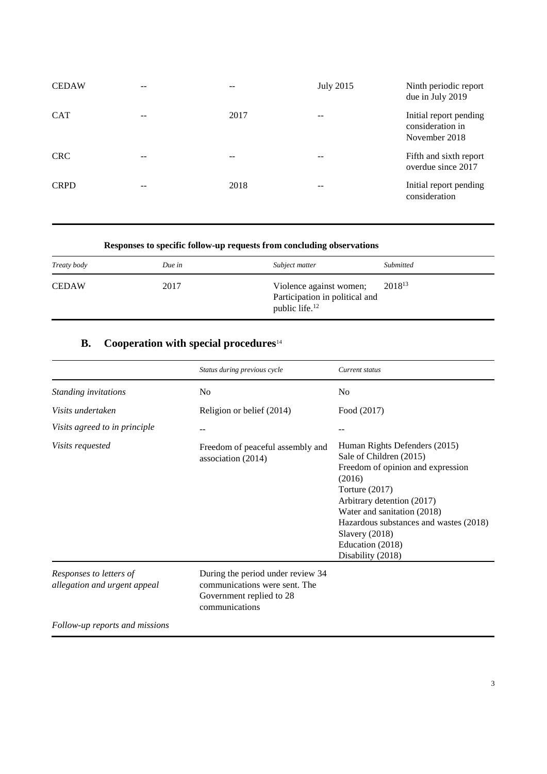| <b>CEDAW</b> | --    | $ -$  | <b>July 2015</b> | Ninth periodic report<br>due in July 2019                   |
|--------------|-------|-------|------------------|-------------------------------------------------------------|
| <b>CAT</b>   | --    | 2017  |                  | Initial report pending<br>consideration in<br>November 2018 |
| <b>CRC</b>   | $- -$ | $- -$ |                  | Fifth and sixth report<br>overdue since 2017                |
| <b>CRPD</b>  | $- -$ | 2018  |                  | Initial report pending<br>consideration                     |

#### **Responses to specific follow-up requests from concluding observations**

| Treaty body  | Due in | Subject matter                                                                          | <b>Submitted</b> |
|--------------|--------|-----------------------------------------------------------------------------------------|------------------|
| <b>CEDAW</b> | 2017   | Violence against women;<br>Participation in political and<br>public life. <sup>12</sup> | $2018^{13}$      |

## **B. Cooperation with special procedures**<sup>14</sup>

|                                                         | Status during previous cycle                                                                                     | Current status                                                                                                                                                                                                                                                                                |
|---------------------------------------------------------|------------------------------------------------------------------------------------------------------------------|-----------------------------------------------------------------------------------------------------------------------------------------------------------------------------------------------------------------------------------------------------------------------------------------------|
| Standing invitations                                    | No                                                                                                               | No                                                                                                                                                                                                                                                                                            |
| Visits undertaken                                       | Religion or belief (2014)                                                                                        | Food (2017)                                                                                                                                                                                                                                                                                   |
| Visits agreed to in principle                           |                                                                                                                  |                                                                                                                                                                                                                                                                                               |
| Visits requested                                        | Freedom of peaceful assembly and<br>association (2014)                                                           | Human Rights Defenders (2015)<br>Sale of Children (2015)<br>Freedom of opinion and expression<br>(2016)<br>Torture (2017)<br>Arbitrary detention (2017)<br>Water and sanitation (2018)<br>Hazardous substances and wastes (2018)<br>Slavery $(2018)$<br>Education (2018)<br>Disability (2018) |
| Responses to letters of<br>allegation and urgent appeal | During the period under review 34<br>communications were sent. The<br>Government replied to 28<br>communications |                                                                                                                                                                                                                                                                                               |
| Follow-up reports and missions                          |                                                                                                                  |                                                                                                                                                                                                                                                                                               |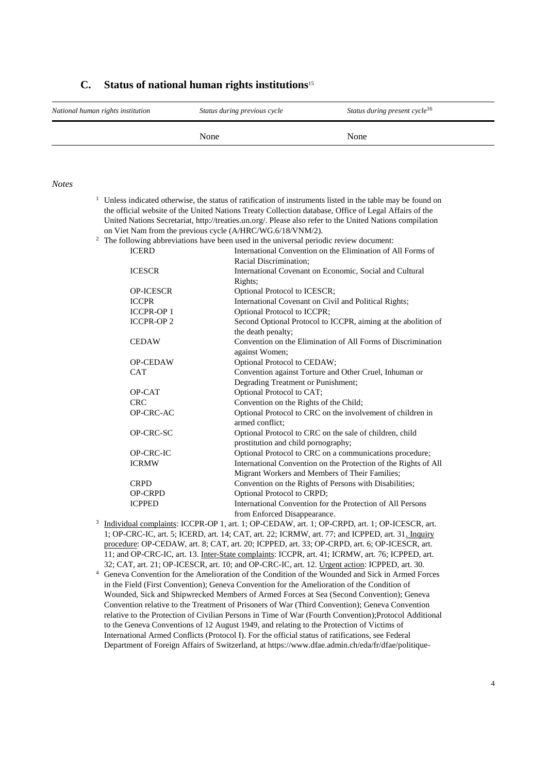# *National human rights institution Status during previous cycle Status during present cycle*<sup>16</sup> None None None

#### **C. Status of national human rights institutions**<sup>15</sup>

#### *Notes*

|                                                                                                       |                                                                                                          | <sup>1</sup> Unless indicated otherwise, the status of ratification of instruments listed in the table may be found on |  |  |
|-------------------------------------------------------------------------------------------------------|----------------------------------------------------------------------------------------------------------|------------------------------------------------------------------------------------------------------------------------|--|--|
| the official website of the United Nations Treaty Collection database, Office of Legal Affairs of the |                                                                                                          |                                                                                                                        |  |  |
|                                                                                                       | United Nations Secretariat, http://treaties.un.org/. Please also refer to the United Nations compilation |                                                                                                                        |  |  |
|                                                                                                       | on Viet Nam from the previous cycle (A/HRC/WG.6/18/VNM/2).                                               |                                                                                                                        |  |  |
| <sup>2</sup> The following abbreviations have been used in the universal periodic review document:    |                                                                                                          |                                                                                                                        |  |  |
|                                                                                                       | <b>ICERD</b>                                                                                             | International Convention on the Elimination of All Forms of                                                            |  |  |
|                                                                                                       |                                                                                                          | Racial Discrimination;                                                                                                 |  |  |
|                                                                                                       | <b>ICESCR</b>                                                                                            | International Covenant on Economic, Social and Cultural                                                                |  |  |
|                                                                                                       |                                                                                                          | Rights;                                                                                                                |  |  |
|                                                                                                       | <b>OP-ICESCR</b>                                                                                         | Optional Protocol to ICESCR;                                                                                           |  |  |
|                                                                                                       | <b>ICCPR</b>                                                                                             | International Covenant on Civil and Political Rights;                                                                  |  |  |
|                                                                                                       | <b>ICCPR-OP1</b>                                                                                         | Optional Protocol to ICCPR;                                                                                            |  |  |
|                                                                                                       | <b>ICCPR-OP2</b>                                                                                         | Second Optional Protocol to ICCPR, aiming at the abolition of                                                          |  |  |
|                                                                                                       |                                                                                                          | the death penalty;                                                                                                     |  |  |
|                                                                                                       | <b>CEDAW</b>                                                                                             | Convention on the Elimination of All Forms of Discrimination                                                           |  |  |
|                                                                                                       |                                                                                                          | against Women;                                                                                                         |  |  |
|                                                                                                       | <b>OP-CEDAW</b>                                                                                          | Optional Protocol to CEDAW;                                                                                            |  |  |
|                                                                                                       | <b>CAT</b>                                                                                               | Convention against Torture and Other Cruel, Inhuman or                                                                 |  |  |
|                                                                                                       |                                                                                                          | Degrading Treatment or Punishment;                                                                                     |  |  |
|                                                                                                       | OP-CAT                                                                                                   | Optional Protocol to CAT;                                                                                              |  |  |
|                                                                                                       | <b>CRC</b>                                                                                               | Convention on the Rights of the Child;                                                                                 |  |  |
|                                                                                                       | OP-CRC-AC                                                                                                | Optional Protocol to CRC on the involvement of children in                                                             |  |  |
|                                                                                                       |                                                                                                          | armed conflict:                                                                                                        |  |  |
|                                                                                                       | OP-CRC-SC                                                                                                | Optional Protocol to CRC on the sale of children, child                                                                |  |  |
|                                                                                                       |                                                                                                          | prostitution and child pornography;                                                                                    |  |  |
|                                                                                                       | OP-CRC-IC                                                                                                | Optional Protocol to CRC on a communications procedure;                                                                |  |  |
|                                                                                                       | <b>ICRMW</b>                                                                                             | International Convention on the Protection of the Rights of All                                                        |  |  |
|                                                                                                       |                                                                                                          | Migrant Workers and Members of Their Families;                                                                         |  |  |
|                                                                                                       | <b>CRPD</b>                                                                                              | Convention on the Rights of Persons with Disabilities;                                                                 |  |  |
|                                                                                                       | <b>OP-CRPD</b>                                                                                           | Optional Protocol to CRPD;                                                                                             |  |  |
|                                                                                                       | <b>ICPPED</b>                                                                                            | International Convention for the Protection of All Persons                                                             |  |  |
|                                                                                                       |                                                                                                          | from Enforced Disappearance.                                                                                           |  |  |
|                                                                                                       |                                                                                                          | Individual complaints: ICCPR-OP 1, art. 1; OP-CEDAW, art. 1; OP-CRPD, art. 1; OP-ICESCR, art.                          |  |  |
|                                                                                                       |                                                                                                          | 1. OP CRC IC art 5: ICERD art $14.$ CAT art $22.$ ICRMW art $77.$ and ICPPED art $31$ Inquiry                          |  |  |

3 1; OP-CRC-IC, art. 5; ICERD, art. 14; CAT, art. 22; ICRMW, art. 77; and ICPPED, art. 31. procedure: OP-CEDAW, art. 8; CAT, art. 20; ICPPED, art. 33; OP-CRPD, art. 6; OP-ICESCR, art. 11; and OP-CRC-IC, art. 13. Inter-State complaints: ICCPR, art. 41; ICRMW, art. 76; ICPPED, art. 32; CAT, art. 21; OP-ICESCR, art. 10; and OP-CRC-IC, art. 12. Urgent action: ICPPED, art. 30.

<sup>4</sup> Geneva Convention for the Amelioration of the Condition of the Wounded and Sick in Armed Forces in the Field (First Convention); Geneva Convention for the Amelioration of the Condition of Wounded, Sick and Shipwrecked Members of Armed Forces at Sea (Second Convention); Geneva Convention relative to the Treatment of Prisoners of War (Third Convention); Geneva Convention relative to the Protection of Civilian Persons in Time of War (Fourth Convention);Protocol Additional to the Geneva Conventions of 12 August 1949, and relating to the Protection of Victims of International Armed Conflicts (Protocol I). For the official status of ratifications, see Federal Department of Foreign Affairs of Switzerland, at https://www.dfae.admin.ch/eda/fr/dfae/politique